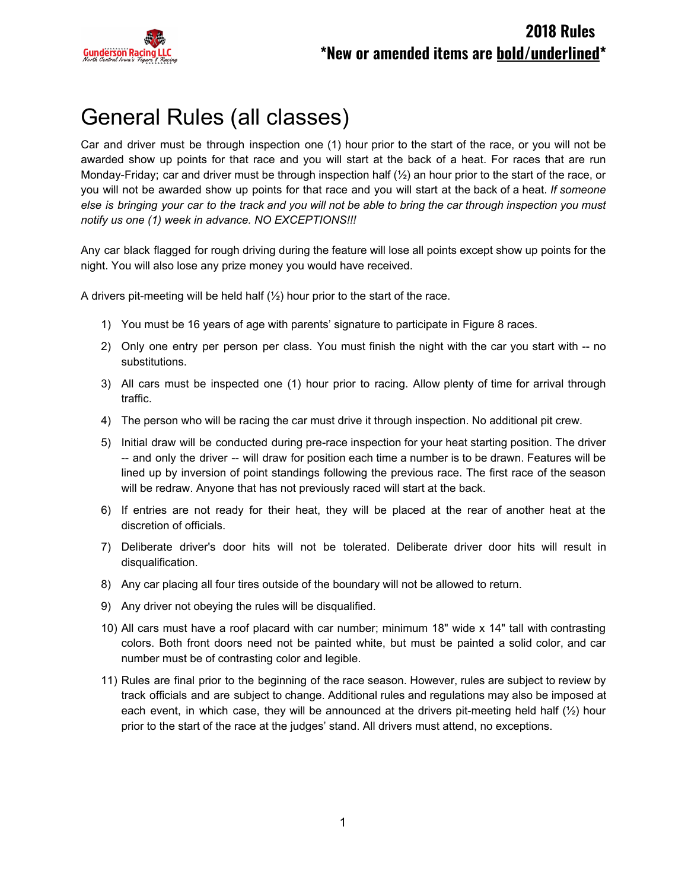

# General Rules (all classes)

Car and driver must be through inspection one (1) hour prior to the start of the race, or you will not be awarded show up points for that race and you will start at the back of a heat. For races that are run Monday-Friday; car and driver must be through inspection half (½) an hour prior to the start of the race, or you will not be awarded show up points for that race and you will start at the back of a heat. *If someone* else is bringing your car to the track and you will not be able to bring the car through inspection you must *notify us one (1) week in advance. NO EXCEPTIONS!!!*

Any car black flagged for rough driving during the feature will lose all points except show up points for the night. You will also lose any prize money you would have received.

A drivers pit-meeting will be held half (½) hour prior to the start of the race.

- 1) You must be 16 years of age with parents' signature to participate in Figure 8 races.
- 2) Only one entry per person per class. You must finish the night with the car you start with -- no substitutions.
- 3) All cars must be inspected one (1) hour prior to racing. Allow plenty of time for arrival through traffic.
- 4) The person who will be racing the car must drive it through inspection. No additional pit crew.
- 5) Initial draw will be conducted during pre-race inspection for your heat starting position. The driver -- and only the driver -- will draw for position each time a number is to be drawn. Features will be lined up by inversion of point standings following the previous race. The first race of the season will be redraw. Anyone that has not previously raced will start at the back.
- 6) If entries are not ready for their heat, they will be placed at the rear of another heat at the discretion of officials.
- 7) Deliberate driver's door hits will not be tolerated. Deliberate driver door hits will result in disqualification.
- 8) Any car placing all four tires outside of the boundary will not be allowed to return.
- 9) Any driver not obeying the rules will be disqualified.
- 10) All cars must have a roof placard with car number; minimum 18" wide x 14" tall with contrasting colors. Both front doors need not be painted white, but must be painted a solid color, and car number must be of contrasting color and legible.
- 11) Rules are final prior to the beginning of the race season. However, rules are subject to review by track officials and are subject to change. Additional rules and regulations may also be imposed at each event, in which case, they will be announced at the drivers pit-meeting held half  $(\frac{1}{2})$  hour prior to the start of the race at the judges' stand. All drivers must attend, no exceptions.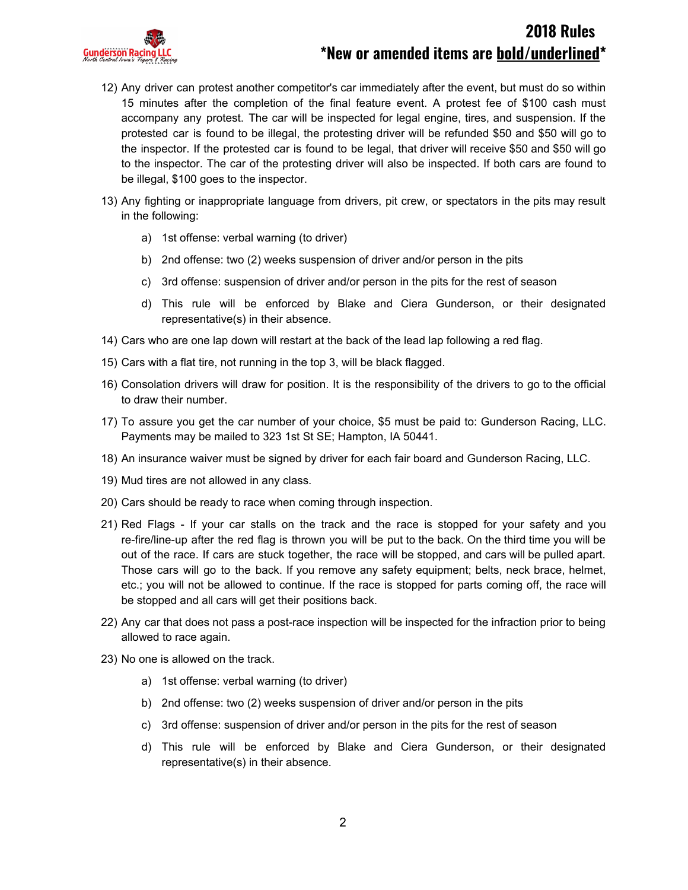

- 12) Any driver can protest another competitor's car immediately after the event, but must do so within 15 minutes after the completion of the final feature event. A protest fee of \$100 cash must accompany any protest. The car will be inspected for legal engine, tires, and suspension. If the protested car is found to be illegal, the protesting driver will be refunded \$50 and \$50 will go to the inspector. If the protested car is found to be legal, that driver will receive \$50 and \$50 will go to the inspector. The car of the protesting driver will also be inspected. If both cars are found to be illegal, \$100 goes to the inspector.
- 13) Any fighting or inappropriate language from drivers, pit crew, or spectators in the pits may result in the following:
	- a) 1st offense: verbal warning (to driver)
	- b) 2nd offense: two (2) weeks suspension of driver and/or person in the pits
	- c) 3rd offense: suspension of driver and/or person in the pits for the rest of season
	- d) This rule will be enforced by Blake and Ciera Gunderson, or their designated representative(s) in their absence.
- 14) Cars who are one lap down will restart at the back of the lead lap following a red flag.
- 15) Cars with a flat tire, not running in the top 3, will be black flagged.
- 16) Consolation drivers will draw for position. It is the responsibility of the drivers to go to the official to draw their number.
- 17) To assure you get the car number of your choice, \$5 must be paid to: Gunderson Racing, LLC. Payments may be mailed to 323 1st St SE; Hampton, IA 50441.
- 18) An insurance waiver must be signed by driver for each fair board and Gunderson Racing, LLC.
- 19) Mud tires are not allowed in any class.
- 20) Cars should be ready to race when coming through inspection.
- 21) Red Flags If your car stalls on the track and the race is stopped for your safety and you re-fire/line-up after the red flag is thrown you will be put to the back. On the third time you will be out of the race. If cars are stuck together, the race will be stopped, and cars will be pulled apart. Those cars will go to the back. If you remove any safety equipment; belts, neck brace, helmet, etc.; you will not be allowed to continue. If the race is stopped for parts coming off, the race will be stopped and all cars will get their positions back.
- 22) Any car that does not pass a post-race inspection will be inspected for the infraction prior to being allowed to race again.
- 23) No one is allowed on the track.
	- a) 1st offense: verbal warning (to driver)
	- b) 2nd offense: two (2) weeks suspension of driver and/or person in the pits
	- c) 3rd offense: suspension of driver and/or person in the pits for the rest of season
	- d) This rule will be enforced by Blake and Ciera Gunderson, or their designated representative(s) in their absence.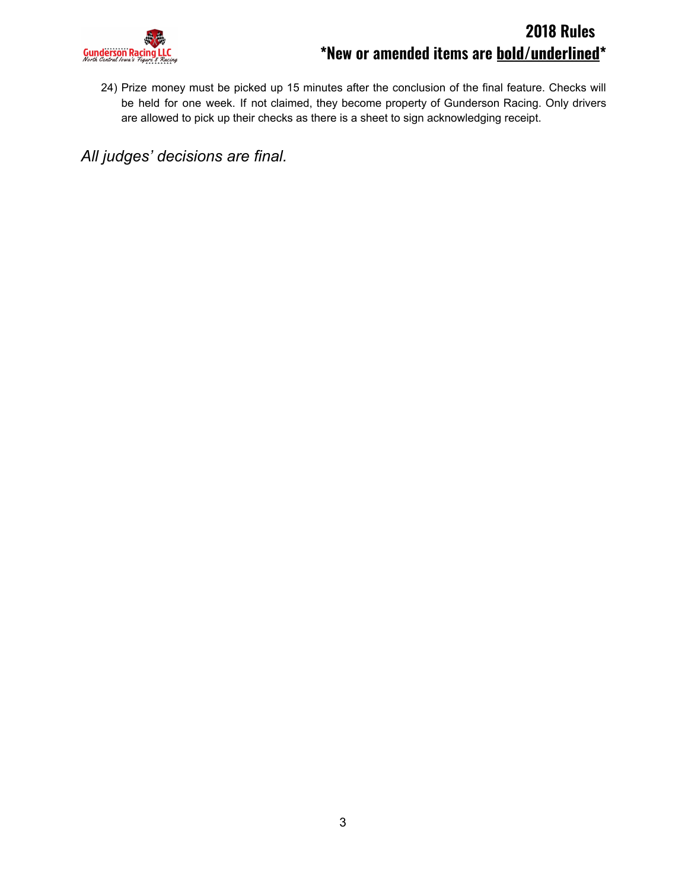

24) Prize money must be picked up 15 minutes after the conclusion of the final feature. Checks will be held for one week. If not claimed, they become property of Gunderson Racing. Only drivers are allowed to pick up their checks as there is a sheet to sign acknowledging receipt.

*All judges' decisions are final.*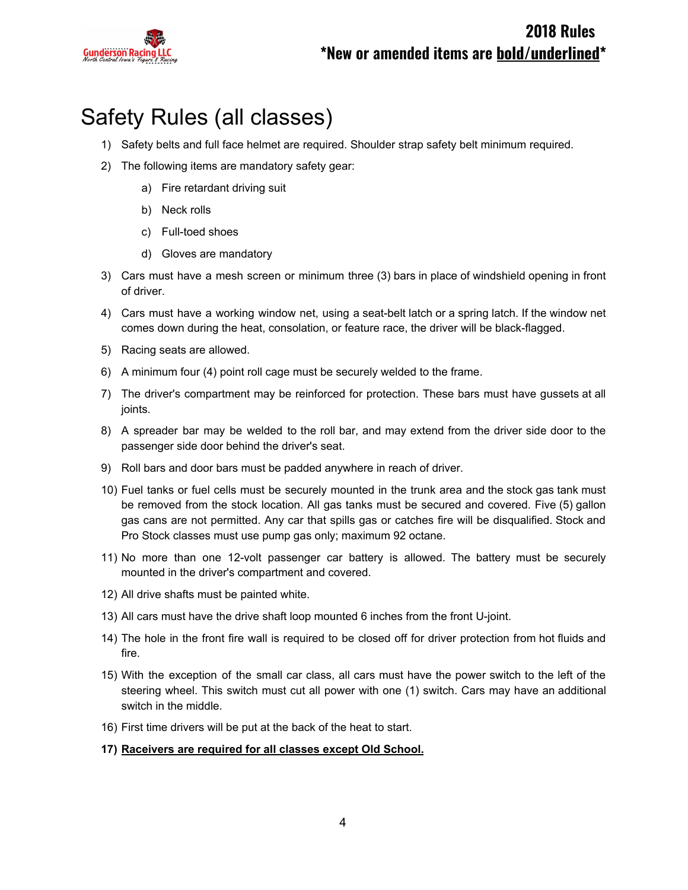

# Safety Rules (all classes)

- 1) Safety belts and full face helmet are required. Shoulder strap safety belt minimum required.
- 2) The following items are mandatory safety gear:
	- a) Fire retardant driving suit
	- b) Neck rolls
	- c) Full-toed shoes
	- d) Gloves are mandatory
- 3) Cars must have a mesh screen or minimum three (3) bars in place of windshield opening in front of driver.
- 4) Cars must have a working window net, using a seat-belt latch or a spring latch. If the window net comes down during the heat, consolation, or feature race, the driver will be black-flagged.
- 5) Racing seats are allowed.
- 6) A minimum four (4) point roll cage must be securely welded to the frame.
- 7) The driver's compartment may be reinforced for protection. These bars must have gussets at all joints.
- 8) A spreader bar may be welded to the roll bar, and may extend from the driver side door to the passenger side door behind the driver's seat.
- 9) Roll bars and door bars must be padded anywhere in reach of driver.
- 10) Fuel tanks or fuel cells must be securely mounted in the trunk area and the stock gas tank must be removed from the stock location. All gas tanks must be secured and covered. Five (5) gallon gas cans are not permitted. Any car that spills gas or catches fire will be disqualified. Stock and Pro Stock classes must use pump gas only; maximum 92 octane.
- 11) No more than one 12-volt passenger car battery is allowed. The battery must be securely mounted in the driver's compartment and covered.
- 12) All drive shafts must be painted white.
- 13) All cars must have the drive shaft loop mounted 6 inches from the front U-joint.
- 14) The hole in the front fire wall is required to be closed off for driver protection from hot fluids and fire.
- 15) With the exception of the small car class, all cars must have the power switch to the left of the steering wheel. This switch must cut all power with one (1) switch. Cars may have an additional switch in the middle.
- 16) First time drivers will be put at the back of the heat to start.
- **17) Raceivers are required for all classes except Old School.**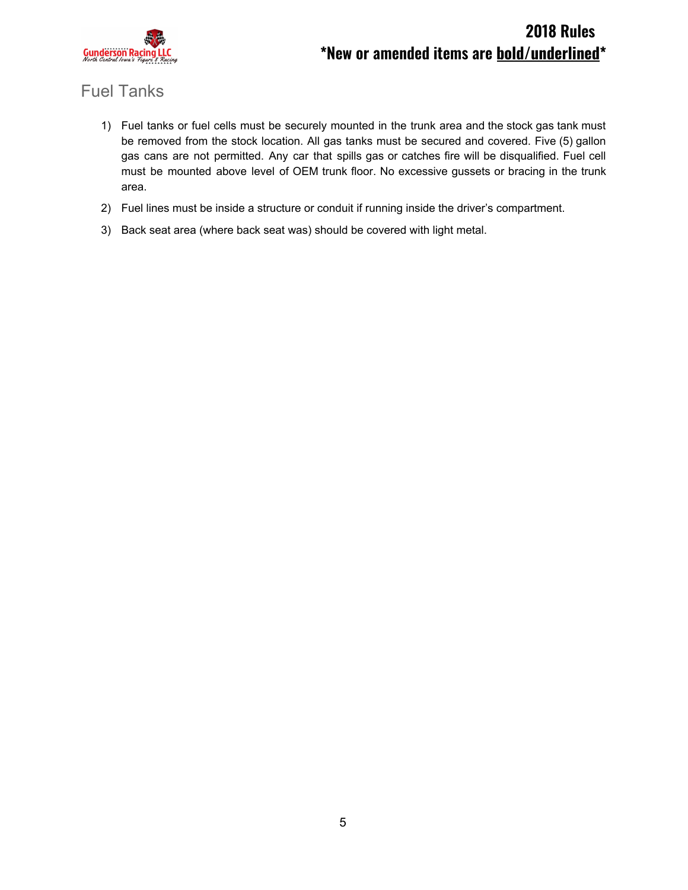

## Fuel Tanks

- 1) Fuel tanks or fuel cells must be securely mounted in the trunk area and the stock gas tank must be removed from the stock location. All gas tanks must be secured and covered. Five (5) gallon gas cans are not permitted. Any car that spills gas or catches fire will be disqualified. Fuel cell must be mounted above level of OEM trunk floor. No excessive gussets or bracing in the trunk area.
- 2) Fuel lines must be inside a structure or conduit if running inside the driver's compartment.
- 3) Back seat area (where back seat was) should be covered with light metal.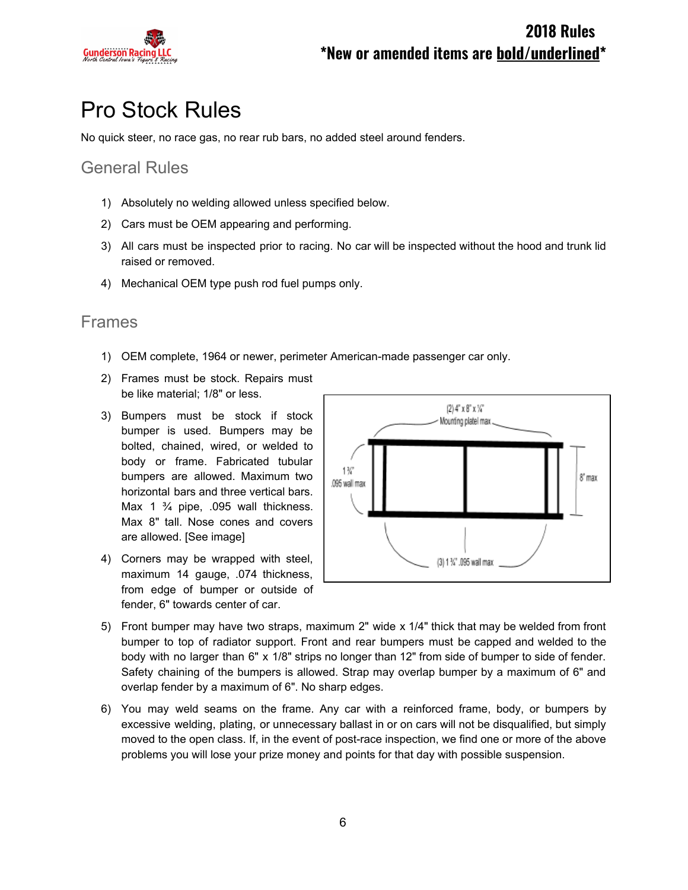

# Pro Stock Rules

No quick steer, no race gas, no rear rub bars, no added steel around fenders.

### General Rules

- 1) Absolutely no welding allowed unless specified below.
- 2) Cars must be OEM appearing and performing.
- 3) All cars must be inspected prior to racing. No car will be inspected without the hood and trunk lid raised or removed.
- 4) Mechanical OEM type push rod fuel pumps only.

#### Frames

- 1) OEM complete, 1964 or newer, perimeter American-made passenger car only.
- 2) Frames must be stock. Repairs must be like material; 1/8" or less.
- 3) Bumpers must be stock if stock bumper is used. Bumpers may be bolted, chained, wired, or welded to body or frame. Fabricated tubular bumpers are allowed. Maximum two horizontal bars and three vertical bars. Max 1  $\frac{3}{4}$  pipe, .095 wall thickness. Max 8" tall. Nose cones and covers are allowed. [See image]
- 4) Corners may be wrapped with steel, maximum 14 gauge, .074 thickness, from edge of bumper or outside of fender, 6" towards center of car.



- 5) Front bumper may have two straps, maximum 2" wide x 1/4" thick that may be welded from front bumper to top of radiator support. Front and rear bumpers must be capped and welded to the body with no larger than 6" x 1/8" strips no longer than 12" from side of bumper to side of fender. Safety chaining of the bumpers is allowed. Strap may overlap bumper by a maximum of 6" and overlap fender by a maximum of 6". No sharp edges.
- 6) You may weld seams on the frame. Any car with a reinforced frame, body, or bumpers by excessive welding, plating, or unnecessary ballast in or on cars will not be disqualified, but simply moved to the open class. If, in the event of post-race inspection, we find one or more of the above problems you will lose your prize money and points for that day with possible suspension.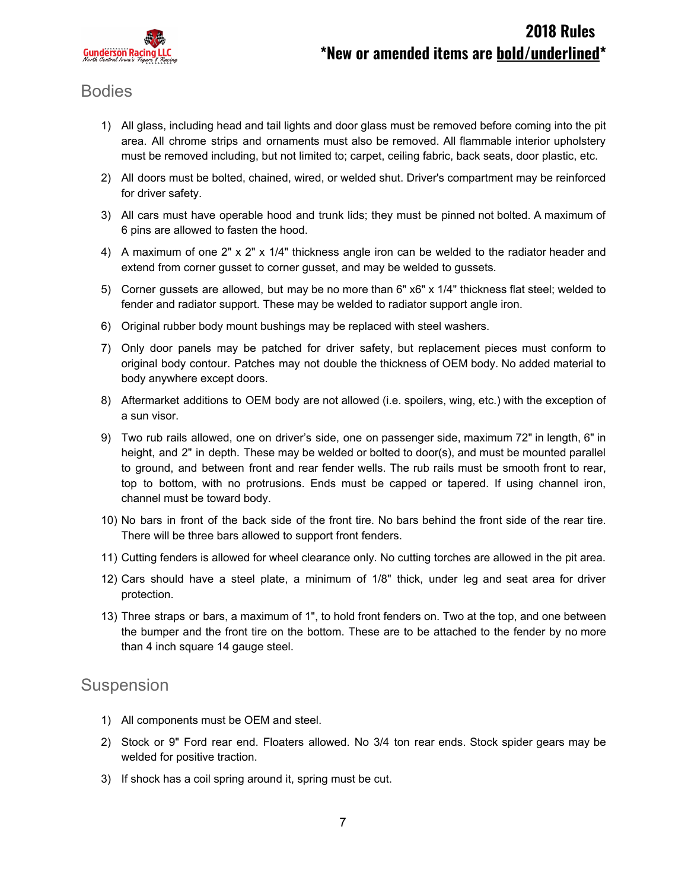

### Bodies

- 1) All glass, including head and tail lights and door glass must be removed before coming into the pit area. All chrome strips and ornaments must also be removed. All flammable interior upholstery must be removed including, but not limited to; carpet, ceiling fabric, back seats, door plastic, etc.
- 2) All doors must be bolted, chained, wired, or welded shut. Driver's compartment may be reinforced for driver safety.
- 3) All cars must have operable hood and trunk lids; they must be pinned not bolted. A maximum of 6 pins are allowed to fasten the hood.
- 4) A maximum of one 2" x 2" x 1/4" thickness angle iron can be welded to the radiator header and extend from corner gusset to corner gusset, and may be welded to gussets.
- 5) Corner gussets are allowed, but may be no more than 6" x6" x 1/4" thickness flat steel; welded to fender and radiator support. These may be welded to radiator support angle iron.
- 6) Original rubber body mount bushings may be replaced with steel washers.
- 7) Only door panels may be patched for driver safety, but replacement pieces must conform to original body contour. Patches may not double the thickness of OEM body. No added material to body anywhere except doors.
- 8) Aftermarket additions to OEM body are not allowed (i.e. spoilers, wing, etc.) with the exception of a sun visor.
- 9) Two rub rails allowed, one on driver's side, one on passenger side, maximum 72" in length, 6" in height, and 2" in depth. These may be welded or bolted to door(s), and must be mounted parallel to ground, and between front and rear fender wells. The rub rails must be smooth front to rear, top to bottom, with no protrusions. Ends must be capped or tapered. If using channel iron, channel must be toward body.
- 10) No bars in front of the back side of the front tire. No bars behind the front side of the rear tire. There will be three bars allowed to support front fenders.
- 11) Cutting fenders is allowed for wheel clearance only. No cutting torches are allowed in the pit area.
- 12) Cars should have a steel plate, a minimum of 1/8" thick, under leg and seat area for driver protection.
- 13) Three straps or bars, a maximum of 1", to hold front fenders on. Two at the top, and one between the bumper and the front tire on the bottom. These are to be attached to the fender by no more than 4 inch square 14 gauge steel.

#### Suspension

- 1) All components must be OEM and steel.
- 2) Stock or 9" Ford rear end. Floaters allowed. No 3/4 ton rear ends. Stock spider gears may be welded for positive traction.
- 3) If shock has a coil spring around it, spring must be cut.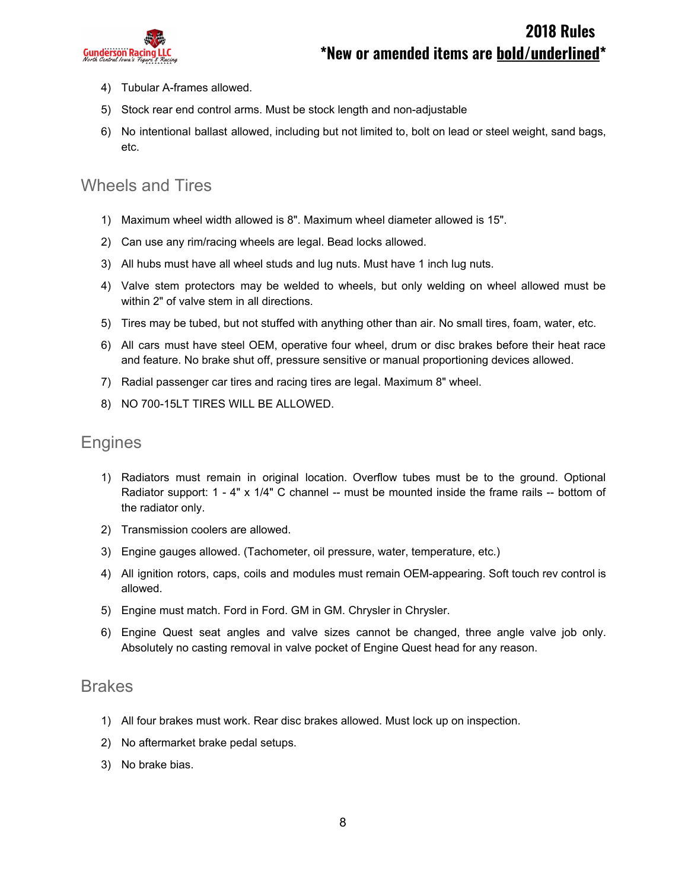

- 4) Tubular A-frames allowed.
- 5) Stock rear end control arms. Must be stock length and non-adjustable
- 6) No intentional ballast allowed, including but not limited to, bolt on lead or steel weight, sand bags, etc.

### Wheels and Tires

- 1) Maximum wheel width allowed is 8". Maximum wheel diameter allowed is 15".
- 2) Can use any rim/racing wheels are legal. Bead locks allowed.
- 3) All hubs must have all wheel studs and lug nuts. Must have 1 inch lug nuts.
- 4) Valve stem protectors may be welded to wheels, but only welding on wheel allowed must be within 2" of valve stem in all directions.
- 5) Tires may be tubed, but not stuffed with anything other than air. No small tires, foam, water, etc.
- 6) All cars must have steel OEM, operative four wheel, drum or disc brakes before their heat race and feature. No brake shut off, pressure sensitive or manual proportioning devices allowed.
- 7) Radial passenger car tires and racing tires are legal. Maximum 8" wheel.
- 8) NO 700-15LT TIRES WILL BE ALLOWED.

#### Engines

- 1) Radiators must remain in original location. Overflow tubes must be to the ground. Optional Radiator support: 1 - 4" x 1/4" C channel -- must be mounted inside the frame rails -- bottom of the radiator only.
- 2) Transmission coolers are allowed.
- 3) Engine gauges allowed. (Tachometer, oil pressure, water, temperature, etc.)
- 4) All ignition rotors, caps, coils and modules must remain OEM-appearing. Soft touch rev control is allowed.
- 5) Engine must match. Ford in Ford. GM in GM. Chrysler in Chrysler.
- 6) Engine Quest seat angles and valve sizes cannot be changed, three angle valve job only. Absolutely no casting removal in valve pocket of Engine Quest head for any reason.

#### Brakes

- 1) All four brakes must work. Rear disc brakes allowed. Must lock up on inspection.
- 2) No aftermarket brake pedal setups.
- 3) No brake bias.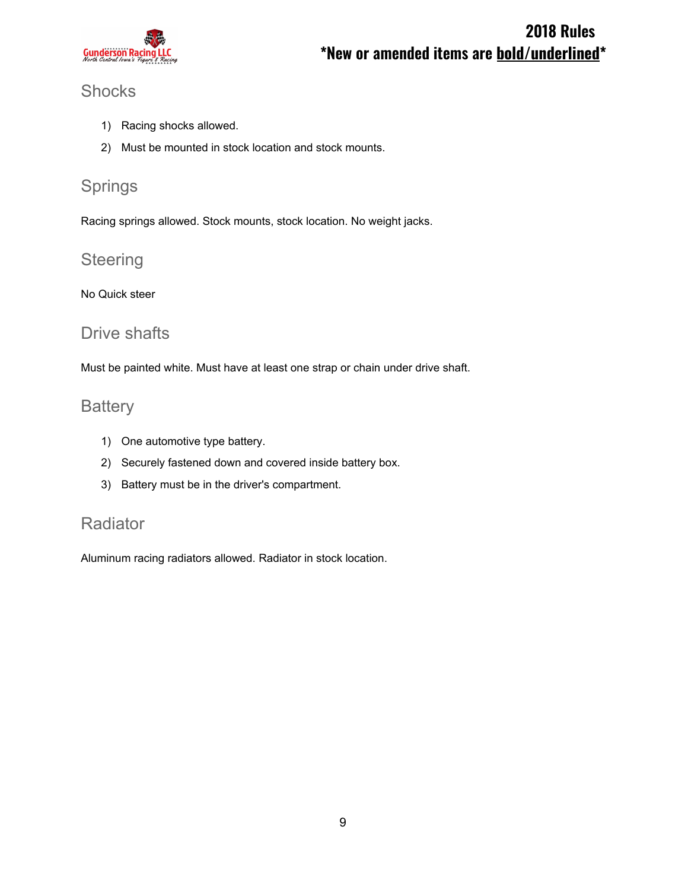

## **Shocks**

- 1) Racing shocks allowed.
- 2) Must be mounted in stock location and stock mounts.

## Springs

Racing springs allowed. Stock mounts, stock location. No weight jacks.

## **Steering**

No Quick steer

### Drive shafts

Must be painted white. Must have at least one strap or chain under drive shaft.

### **Battery**

- 1) One automotive type battery.
- 2) Securely fastened down and covered inside battery box.
- 3) Battery must be in the driver's compartment.

## Radiator

Aluminum racing radiators allowed. Radiator in stock location.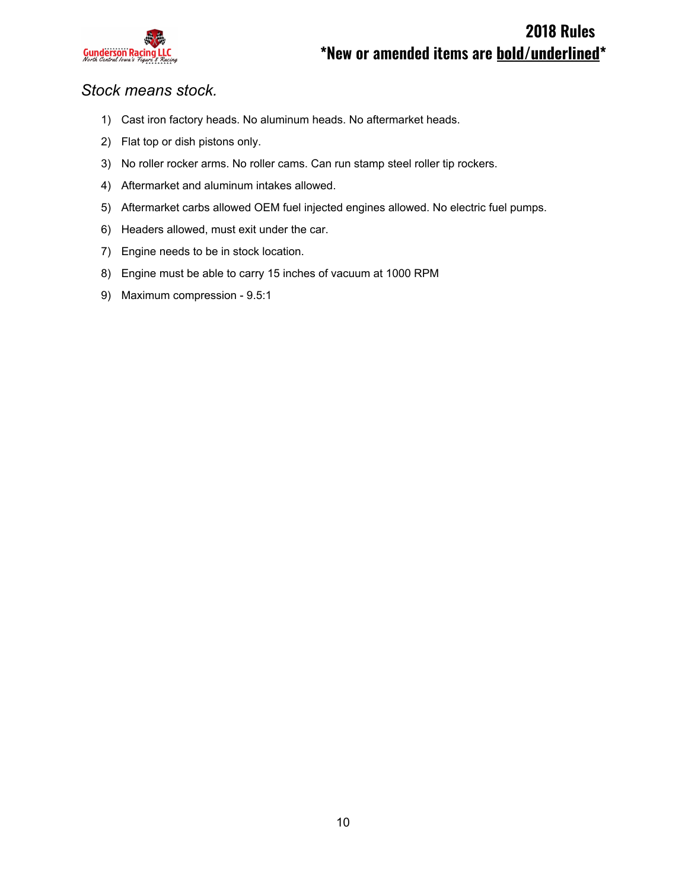

#### *Stock means stock.*

- 1) Cast iron factory heads. No aluminum heads. No aftermarket heads.
- 2) Flat top or dish pistons only.
- 3) No roller rocker arms. No roller cams. Can run stamp steel roller tip rockers.
- 4) Aftermarket and aluminum intakes allowed.
- 5) Aftermarket carbs allowed OEM fuel injected engines allowed. No electric fuel pumps.
- 6) Headers allowed, must exit under the car.
- 7) Engine needs to be in stock location.
- 8) Engine must be able to carry 15 inches of vacuum at 1000 RPM
- 9) Maximum compression 9.5:1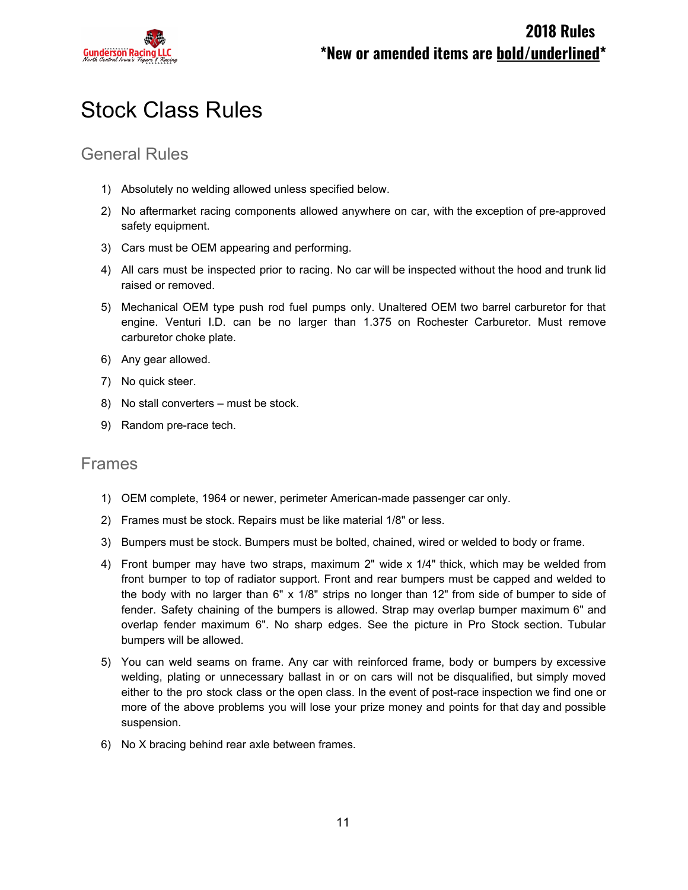

# Stock Class Rules

### General Rules

- 1) Absolutely no welding allowed unless specified below.
- 2) No aftermarket racing components allowed anywhere on car, with the exception of pre-approved safety equipment.
- 3) Cars must be OEM appearing and performing.
- 4) All cars must be inspected prior to racing. No car will be inspected without the hood and trunk lid raised or removed.
- 5) Mechanical OEM type push rod fuel pumps only. Unaltered OEM two barrel carburetor for that engine. Venturi I.D. can be no larger than 1.375 on Rochester Carburetor. Must remove carburetor choke plate.
- 6) Any gear allowed.
- 7) No quick steer.
- 8) No stall converters must be stock.
- 9) Random pre-race tech.

#### Frames

- 1) OEM complete, 1964 or newer, perimeter American-made passenger car only.
- 2) Frames must be stock. Repairs must be like material 1/8" or less.
- 3) Bumpers must be stock. Bumpers must be bolted, chained, wired or welded to body or frame.
- 4) Front bumper may have two straps, maximum 2" wide x 1/4" thick, which may be welded from front bumper to top of radiator support. Front and rear bumpers must be capped and welded to the body with no larger than 6" x 1/8" strips no longer than 12" from side of bumper to side of fender. Safety chaining of the bumpers is allowed. Strap may overlap bumper maximum 6" and overlap fender maximum 6". No sharp edges. See the picture in Pro Stock section. Tubular bumpers will be allowed.
- 5) You can weld seams on frame. Any car with reinforced frame, body or bumpers by excessive welding, plating or unnecessary ballast in or on cars will not be disqualified, but simply moved either to the pro stock class or the open class. In the event of post-race inspection we find one or more of the above problems you will lose your prize money and points for that day and possible suspension.
- 6) No X bracing behind rear axle between frames.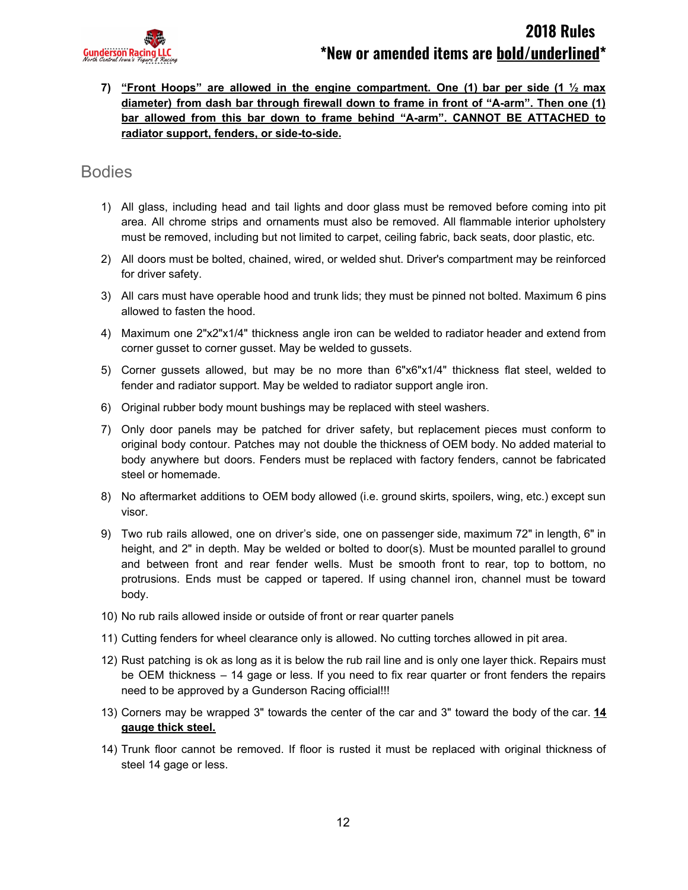

**7) "Front Hoops" are allowed in the engine compartment. One (1) bar per side (1 ½ max diameter) from dash bar through firewall down to frame in front of "A-arm". Then one (1) bar allowed from this bar down to frame behind "A-arm". CANNOT BE ATTACHED to radiator support, fenders, or side-to-side.**

#### Bodies

- 1) All glass, including head and tail lights and door glass must be removed before coming into pit area. All chrome strips and ornaments must also be removed. All flammable interior upholstery must be removed, including but not limited to carpet, ceiling fabric, back seats, door plastic, etc.
- 2) All doors must be bolted, chained, wired, or welded shut. Driver's compartment may be reinforced for driver safety.
- 3) All cars must have operable hood and trunk lids; they must be pinned not bolted. Maximum 6 pins allowed to fasten the hood.
- 4) Maximum one 2"x2"x1/4" thickness angle iron can be welded to radiator header and extend from corner gusset to corner gusset. May be welded to gussets.
- 5) Corner gussets allowed, but may be no more than 6"x6"x1/4" thickness flat steel, welded to fender and radiator support. May be welded to radiator support angle iron.
- 6) Original rubber body mount bushings may be replaced with steel washers.
- 7) Only door panels may be patched for driver safety, but replacement pieces must conform to original body contour. Patches may not double the thickness of OEM body. No added material to body anywhere but doors. Fenders must be replaced with factory fenders, cannot be fabricated steel or homemade.
- 8) No aftermarket additions to OEM body allowed (i.e. ground skirts, spoilers, wing, etc.) except sun visor.
- 9) Two rub rails allowed, one on driver's side, one on passenger side, maximum 72" in length, 6" in height, and 2" in depth. May be welded or bolted to door(s). Must be mounted parallel to ground and between front and rear fender wells. Must be smooth front to rear, top to bottom, no protrusions. Ends must be capped or tapered. If using channel iron, channel must be toward body.
- 10) No rub rails allowed inside or outside of front or rear quarter panels
- 11) Cutting fenders for wheel clearance only is allowed. No cutting torches allowed in pit area.
- 12) Rust patching is ok as long as it is below the rub rail line and is only one layer thick. Repairs must be OEM thickness – 14 gage or less. If you need to fix rear quarter or front fenders the repairs need to be approved by a Gunderson Racing official!!!
- 13) Corners may be wrapped 3" towards the center of the car and 3" toward the body of the car. **14 gauge thick steel.**
- 14) Trunk floor cannot be removed. If floor is rusted it must be replaced with original thickness of steel 14 gage or less.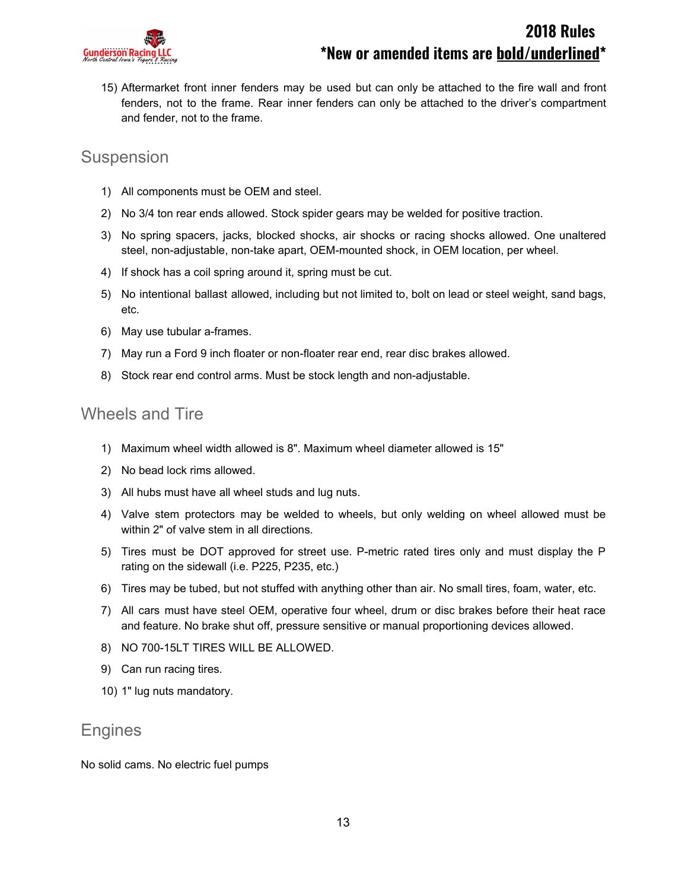

15) Aftermarket front inner fenders may be used but can only be attached to the fire wall and front fenders, not to the frame. Rear inner fenders can only be attached to the driver's compartment and fender, not to the frame.

#### Suspension

- 1) All components must be OEM and steel.
- 2) No 3/4 ton rear ends allowed. Stock spider gears may be welded for positive traction.
- 3) No spring spacers, jacks, blocked shocks, air shocks or racing shocks allowed. One unaltered steel, non-adjustable, non-take apart, OEM-mounted shock, in OEM location, per wheel.
- 4) If shock has a coil spring around it, spring must be cut.
- 5) No intentional ballast allowed, including but not limited to, bolt on lead or steel weight, sand bags, etc.
- 6) May use tubular a-frames.
- 7) May run a Ford 9 inch floater or non-floater rear end, rear disc brakes allowed.
- 8) Stock rear end control arms. Must be stock length and non-adjustable.

### Wheels and Tire

- 1) Maximum wheel width allowed is 8". Maximum wheel diameter allowed is 15"
- 2) No bead lock rims allowed.
- 3) All hubs must have all wheel studs and lug nuts.
- 4) Valve stem protectors may be welded to wheels, but only welding on wheel allowed must be within 2" of valve stem in all directions.
- 5) Tires must be DOT approved for street use. P-metric rated tires only and must display the P rating on the sidewall (i.e. P225, P235, etc.)
- 6) Tires may be tubed, but not stuffed with anything other than air. No small tires, foam, water, etc.
- 7) All cars must have steel OEM, operative four wheel, drum or disc brakes before their heat race and feature. No brake shut off, pressure sensitive or manual proportioning devices allowed.
- 8) NO 700-15LT TIRES WILL BE ALLOWED.
- 9) Can run racing tires.
- 10) 1" lug nuts mandatory.

#### Engines

No solid cams. No electric fuel pumps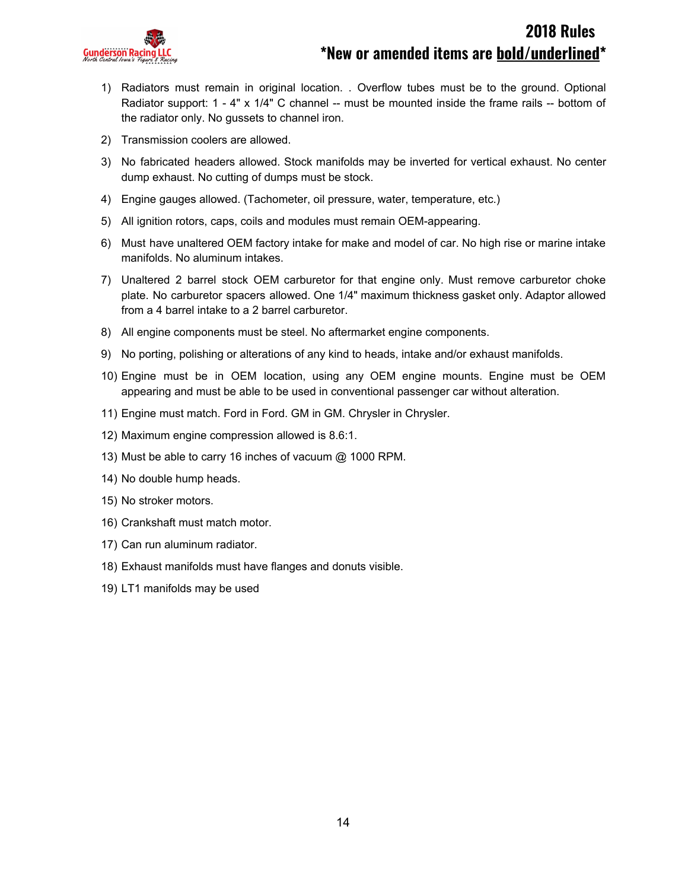

- 1) Radiators must remain in original location. . Overflow tubes must be to the ground. Optional Radiator support: 1 - 4" x 1/4" C channel -- must be mounted inside the frame rails -- bottom of the radiator only. No gussets to channel iron.
- 2) Transmission coolers are allowed.
- 3) No fabricated headers allowed. Stock manifolds may be inverted for vertical exhaust. No center dump exhaust. No cutting of dumps must be stock.
- 4) Engine gauges allowed. (Tachometer, oil pressure, water, temperature, etc.)
- 5) All ignition rotors, caps, coils and modules must remain OEM-appearing.
- 6) Must have unaltered OEM factory intake for make and model of car. No high rise or marine intake manifolds. No aluminum intakes.
- 7) Unaltered 2 barrel stock OEM carburetor for that engine only. Must remove carburetor choke plate. No carburetor spacers allowed. One 1/4" maximum thickness gasket only. Adaptor allowed from a 4 barrel intake to a 2 barrel carburetor.
- 8) All engine components must be steel. No aftermarket engine components.
- 9) No porting, polishing or alterations of any kind to heads, intake and/or exhaust manifolds.
- 10) Engine must be in OEM location, using any OEM engine mounts. Engine must be OEM appearing and must be able to be used in conventional passenger car without alteration.
- 11) Engine must match. Ford in Ford. GM in GM. Chrysler in Chrysler.
- 12) Maximum engine compression allowed is 8.6:1.
- 13) Must be able to carry 16 inches of vacuum @ 1000 RPM.
- 14) No double hump heads.
- 15) No stroker motors.
- 16) Crankshaft must match motor.
- 17) Can run aluminum radiator.
- 18) Exhaust manifolds must have flanges and donuts visible.
- 19) LT1 manifolds may be used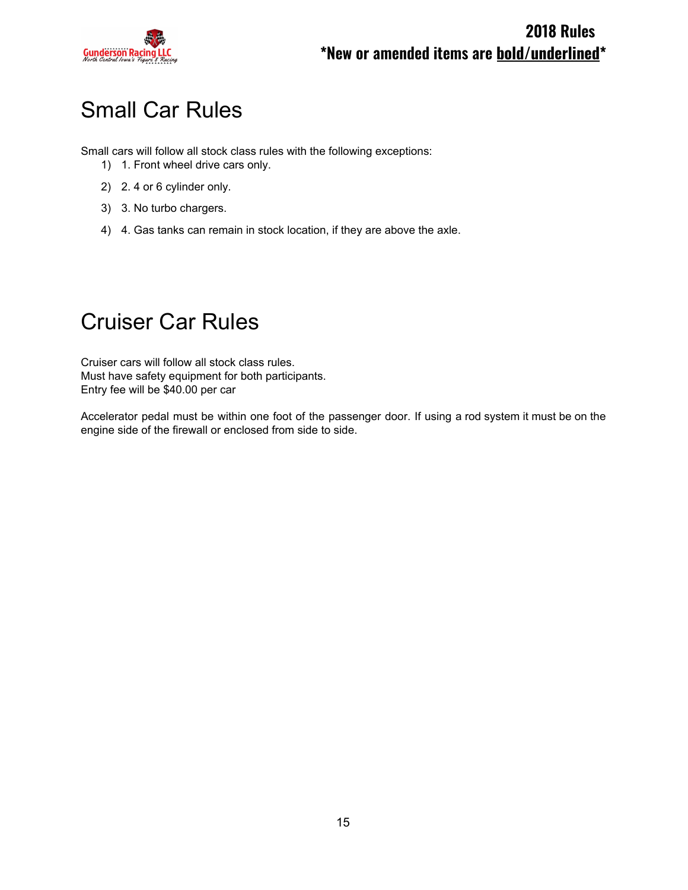

# Small Car Rules

Small cars will follow all stock class rules with the following exceptions:

- 1) 1. Front wheel drive cars only.
- 2) 2. 4 or 6 cylinder only.
- 3) 3. No turbo chargers.
- 4) 4. Gas tanks can remain in stock location, if they are above the axle.

# Cruiser Car Rules

Cruiser cars will follow all stock class rules. Must have safety equipment for both participants. Entry fee will be \$40.00 per car

Accelerator pedal must be within one foot of the passenger door. If using a rod system it must be on the engine side of the firewall or enclosed from side to side.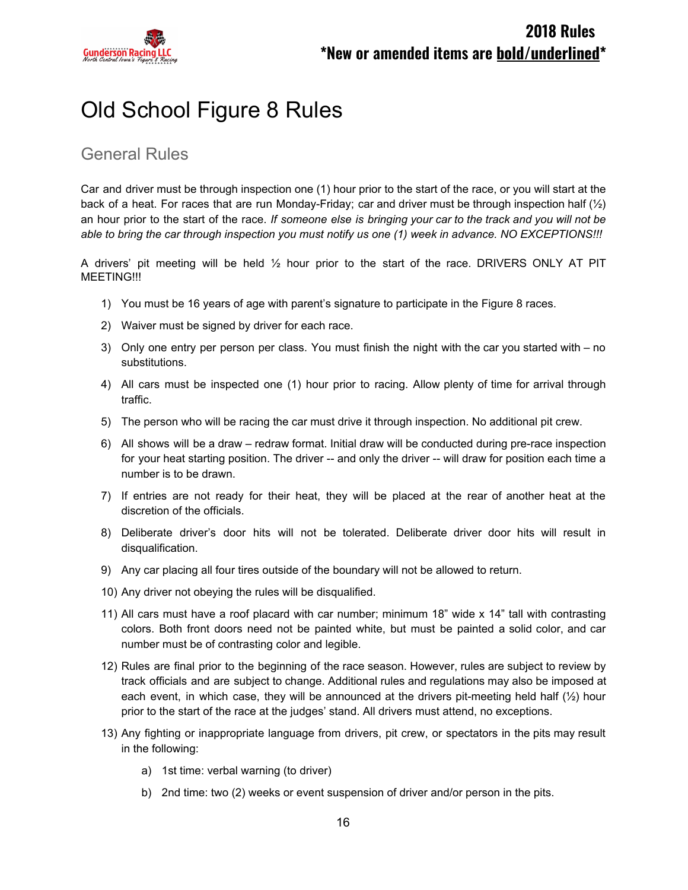

# Old School Figure 8 Rules

### General Rules

Car and driver must be through inspection one (1) hour prior to the start of the race, or you will start at the back of a heat. For races that are run Monday-Friday; car and driver must be through inspection half  $(\frac{1}{2})$ an hour prior to the start of the race. *If someone else is bringing your car to the track and you will not be* able to bring the car through inspection you must notify us one (1) week in advance. NO EXCEPTIONS !!!

A drivers' pit meeting will be held  $\frac{1}{2}$  hour prior to the start of the race. DRIVERS ONLY AT PIT MEETING!!!

- 1) You must be 16 years of age with parent's signature to participate in the Figure 8 races.
- 2) Waiver must be signed by driver for each race.
- 3) Only one entry per person per class. You must finish the night with the car you started with no substitutions.
- 4) All cars must be inspected one (1) hour prior to racing. Allow plenty of time for arrival through traffic.
- 5) The person who will be racing the car must drive it through inspection. No additional pit crew.
- 6) All shows will be a draw redraw format. Initial draw will be conducted during pre-race inspection for your heat starting position. The driver -- and only the driver -- will draw for position each time a number is to be drawn.
- 7) If entries are not ready for their heat, they will be placed at the rear of another heat at the discretion of the officials.
- 8) Deliberate driver's door hits will not be tolerated. Deliberate driver door hits will result in disqualification.
- 9) Any car placing all four tires outside of the boundary will not be allowed to return.
- 10) Any driver not obeying the rules will be disqualified.
- 11) All cars must have a roof placard with car number; minimum 18" wide x 14" tall with contrasting colors. Both front doors need not be painted white, but must be painted a solid color, and car number must be of contrasting color and legible.
- 12) Rules are final prior to the beginning of the race season. However, rules are subject to review by track officials and are subject to change. Additional rules and regulations may also be imposed at each event, in which case, they will be announced at the drivers pit-meeting held half  $(\frac{1}{2})$  hour prior to the start of the race at the judges' stand. All drivers must attend, no exceptions.
- 13) Any fighting or inappropriate language from drivers, pit crew, or spectators in the pits may result in the following:
	- a) 1st time: verbal warning (to driver)
	- b) 2nd time: two (2) weeks or event suspension of driver and/or person in the pits.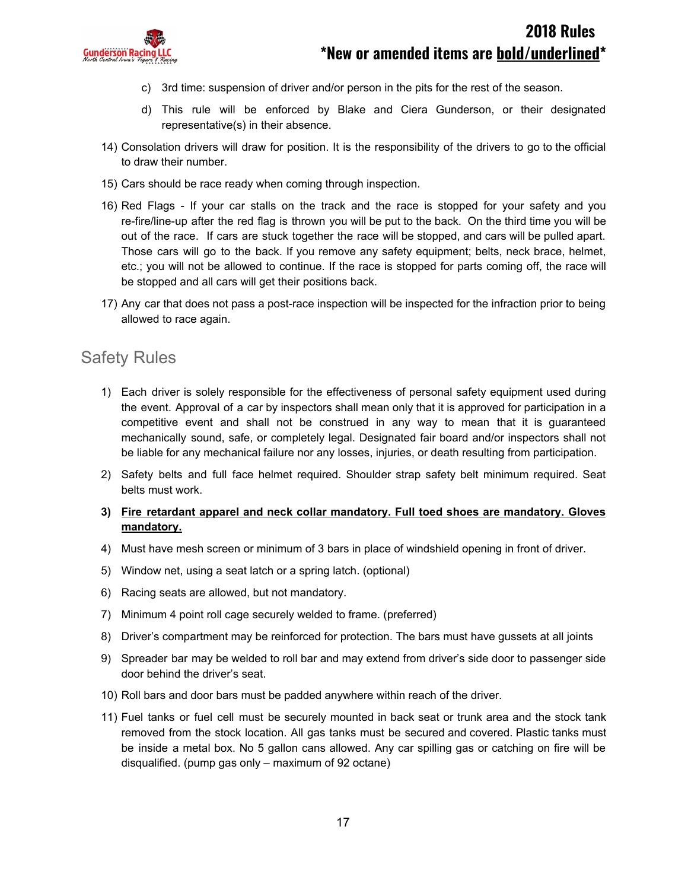

- c) 3rd time: suspension of driver and/or person in the pits for the rest of the season.
- d) This rule will be enforced by Blake and Ciera Gunderson, or their designated representative(s) in their absence.
- 14) Consolation drivers will draw for position. It is the responsibility of the drivers to go to the official to draw their number.
- 15) Cars should be race ready when coming through inspection.
- 16) Red Flags If your car stalls on the track and the race is stopped for your safety and you re-fire/line-up after the red flag is thrown you will be put to the back. On the third time you will be out of the race. If cars are stuck together the race will be stopped, and cars will be pulled apart. Those cars will go to the back. If you remove any safety equipment; belts, neck brace, helmet, etc.; you will not be allowed to continue. If the race is stopped for parts coming off, the race will be stopped and all cars will get their positions back.
- 17) Any car that does not pass a post-race inspection will be inspected for the infraction prior to being allowed to race again.

#### Safety Rules

- 1) Each driver is solely responsible for the effectiveness of personal safety equipment used during the event. Approval of a car by inspectors shall mean only that it is approved for participation in a competitive event and shall not be construed in any way to mean that it is guaranteed mechanically sound, safe, or completely legal. Designated fair board and/or inspectors shall not be liable for any mechanical failure nor any losses, injuries, or death resulting from participation.
- 2) Safety belts and full face helmet required. Shoulder strap safety belt minimum required. Seat belts must work.
- **3) Fire retardant apparel and neck collar mandatory. Full toed shoes are mandatory. Gloves mandatory.**
- 4) Must have mesh screen or minimum of 3 bars in place of windshield opening in front of driver.
- 5) Window net, using a seat latch or a spring latch. (optional)
- 6) Racing seats are allowed, but not mandatory.
- 7) Minimum 4 point roll cage securely welded to frame. (preferred)
- 8) Driver's compartment may be reinforced for protection. The bars must have gussets at all joints
- 9) Spreader bar may be welded to roll bar and may extend from driver's side door to passenger side door behind the driver's seat.
- 10) Roll bars and door bars must be padded anywhere within reach of the driver.
- 11) Fuel tanks or fuel cell must be securely mounted in back seat or trunk area and the stock tank removed from the stock location. All gas tanks must be secured and covered. Plastic tanks must be inside a metal box. No 5 gallon cans allowed. Any car spilling gas or catching on fire will be disqualified. (pump gas only – maximum of 92 octane)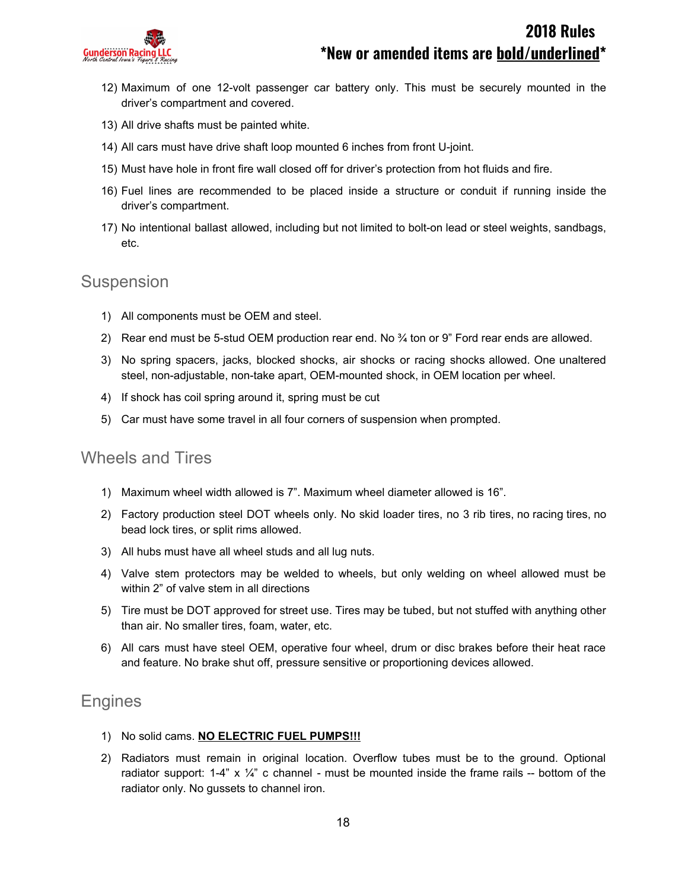

- 12) Maximum of one 12-volt passenger car battery only. This must be securely mounted in the driver's compartment and covered.
- 13) All drive shafts must be painted white.
- 14) All cars must have drive shaft loop mounted 6 inches from front U-joint.
- 15) Must have hole in front fire wall closed off for driver's protection from hot fluids and fire.
- 16) Fuel lines are recommended to be placed inside a structure or conduit if running inside the driver's compartment.
- 17) No intentional ballast allowed, including but not limited to bolt-on lead or steel weights, sandbags, etc.

#### Suspension

- 1) All components must be OEM and steel.
- 2) Rear end must be 5-stud OEM production rear end. No  $\frac{3}{4}$  ton or 9" Ford rear ends are allowed.
- 3) No spring spacers, jacks, blocked shocks, air shocks or racing shocks allowed. One unaltered steel, non-adjustable, non-take apart, OEM-mounted shock, in OEM location per wheel.
- 4) If shock has coil spring around it, spring must be cut
- 5) Car must have some travel in all four corners of suspension when prompted.

#### Wheels and Tires

- 1) Maximum wheel width allowed is 7". Maximum wheel diameter allowed is 16".
- 2) Factory production steel DOT wheels only. No skid loader tires, no 3 rib tires, no racing tires, no bead lock tires, or split rims allowed.
- 3) All hubs must have all wheel studs and all lug nuts.
- 4) Valve stem protectors may be welded to wheels, but only welding on wheel allowed must be within 2" of valve stem in all directions
- 5) Tire must be DOT approved for street use. Tires may be tubed, but not stuffed with anything other than air. No smaller tires, foam, water, etc.
- 6) All cars must have steel OEM, operative four wheel, drum or disc brakes before their heat race and feature. No brake shut off, pressure sensitive or proportioning devices allowed.

#### **Engines**

- 1) No solid cams. **NO ELECTRIC FUEL PUMPS!!!**
- 2) Radiators must remain in original location. Overflow tubes must be to the ground. Optional radiator support: 1-4" x  $\frac{1}{4}$ " c channel - must be mounted inside the frame rails -- bottom of the radiator only. No gussets to channel iron.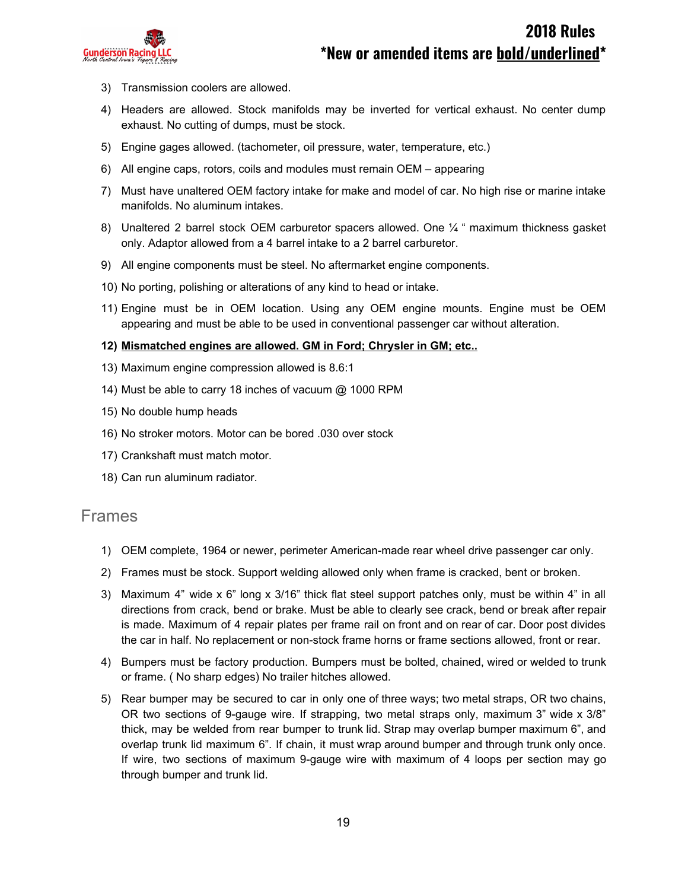

- 3) Transmission coolers are allowed.
- 4) Headers are allowed. Stock manifolds may be inverted for vertical exhaust. No center dump exhaust. No cutting of dumps, must be stock.
- 5) Engine gages allowed. (tachometer, oil pressure, water, temperature, etc.)
- 6) All engine caps, rotors, coils and modules must remain OEM appearing
- 7) Must have unaltered OEM factory intake for make and model of car. No high rise or marine intake manifolds. No aluminum intakes.
- 8) Unaltered 2 barrel stock OEM carburetor spacers allowed. One 1/4 " maximum thickness gasket only. Adaptor allowed from a 4 barrel intake to a 2 barrel carburetor.
- 9) All engine components must be steel. No aftermarket engine components.
- 10) No porting, polishing or alterations of any kind to head or intake.
- 11) Engine must be in OEM location. Using any OEM engine mounts. Engine must be OEM appearing and must be able to be used in conventional passenger car without alteration.

#### **12) Mismatched engines are allowed. GM in Ford; Chrysler in GM; etc..**

- 13) Maximum engine compression allowed is 8.6:1
- 14) Must be able to carry 18 inches of vacuum @ 1000 RPM
- 15) No double hump heads
- 16) No stroker motors. Motor can be bored .030 over stock
- 17) Crankshaft must match motor.
- 18) Can run aluminum radiator.

#### Frames

- 1) OEM complete, 1964 or newer, perimeter American-made rear wheel drive passenger car only.
- 2) Frames must be stock. Support welding allowed only when frame is cracked, bent or broken.
- 3) Maximum 4" wide x 6" long x 3/16" thick flat steel support patches only, must be within 4" in all directions from crack, bend or brake. Must be able to clearly see crack, bend or break after repair is made. Maximum of 4 repair plates per frame rail on front and on rear of car. Door post divides the car in half. No replacement or non-stock frame horns or frame sections allowed, front or rear.
- 4) Bumpers must be factory production. Bumpers must be bolted, chained, wired or welded to trunk or frame. ( No sharp edges) No trailer hitches allowed.
- 5) Rear bumper may be secured to car in only one of three ways; two metal straps, OR two chains, OR two sections of 9-gauge wire. If strapping, two metal straps only, maximum 3" wide x 3/8" thick, may be welded from rear bumper to trunk lid. Strap may overlap bumper maximum 6", and overlap trunk lid maximum 6". If chain, it must wrap around bumper and through trunk only once. If wire, two sections of maximum 9-gauge wire with maximum of 4 loops per section may go through bumper and trunk lid.